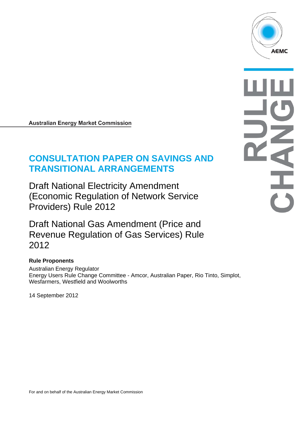

#### **Australian Energy Market Commission**

# **CONSULTATION PAPER ON SAVINGS AND TRANSITIONAL ARRANGEMENTS**

Draft National Electricity Amendment (Economic Regulation of Network Service Providers) Rule 2012

Draft National Gas Amendment (Price and Revenue Regulation of Gas Services) Rule 2012

#### **Rule Proponents**

Australian Energy Regulator Energy Users Rule Change Committee - Amcor, Australian Paper, Rio Tinto, Simplot, Wesfarmers, Westfield and Woolworths

14 September 2012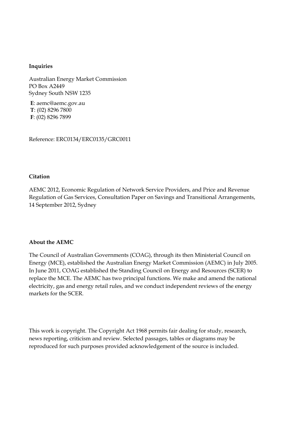#### **Inquiries**

Australian Energy Market Commission PO Box A2449 Sydney South NSW 1235

**E**: aemc@aemc.gov.au **T**: (02) 8296 7800 **F**: (02) 8296 7899

Reference: ERC0134/ERC0135/GRC0011

#### **Citation**

AEMC 2012, Economic Regulation of Network Service Providers, and Price and Revenue Regulation of Gas Services, Consultation Paper on Savings and Transitional Arrangements, 14 September 2012, Sydney

#### **About the AEMC**

The Council of Australian Governments (COAG), through its then Ministerial Council on Energy (MCE), established the Australian Energy Market Commission (AEMC) in July 2005. In June 2011, COAG established the Standing Council on Energy and Resources (SCER) to replace the MCE. The AEMC has two principal functions. We make and amend the national electricity, gas and energy retail rules, and we conduct independent reviews of the energy markets for the SCER.

This work is copyright. The Copyright Act 1968 permits fair dealing for study, research, news reporting, criticism and review. Selected passages, tables or diagrams may be reproduced for such purposes provided acknowledgement of the source is included.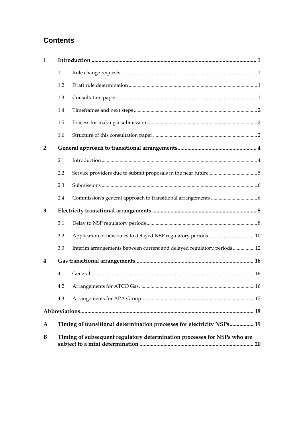# **Contents**

| $\mathbf{1}$   |                                                                          |                                                                        |  |  |  |  |
|----------------|--------------------------------------------------------------------------|------------------------------------------------------------------------|--|--|--|--|
|                | 1.1                                                                      |                                                                        |  |  |  |  |
|                | 1.2                                                                      |                                                                        |  |  |  |  |
|                | 1.3                                                                      |                                                                        |  |  |  |  |
|                | 1.4                                                                      |                                                                        |  |  |  |  |
|                | 1.5                                                                      |                                                                        |  |  |  |  |
|                | 1.6                                                                      |                                                                        |  |  |  |  |
| $\overline{2}$ |                                                                          |                                                                        |  |  |  |  |
|                | 2.1                                                                      |                                                                        |  |  |  |  |
|                | 2.2                                                                      |                                                                        |  |  |  |  |
|                | 2.3                                                                      |                                                                        |  |  |  |  |
|                | 2.4                                                                      |                                                                        |  |  |  |  |
| 3              |                                                                          |                                                                        |  |  |  |  |
|                | 3.1                                                                      |                                                                        |  |  |  |  |
|                | 3.2                                                                      |                                                                        |  |  |  |  |
|                | 3.3                                                                      | Interim arrangements between current and delayed regulatory periods 12 |  |  |  |  |
| 4              |                                                                          |                                                                        |  |  |  |  |
|                | 4.1                                                                      |                                                                        |  |  |  |  |
|                |                                                                          |                                                                        |  |  |  |  |
|                | 4.3                                                                      |                                                                        |  |  |  |  |
|                |                                                                          |                                                                        |  |  |  |  |
| A              |                                                                          | Timing of transitional determination processes for electricity NSPs 19 |  |  |  |  |
| B              | Timing of subsequent regulatory determination processes for NSPs who are |                                                                        |  |  |  |  |
|                |                                                                          |                                                                        |  |  |  |  |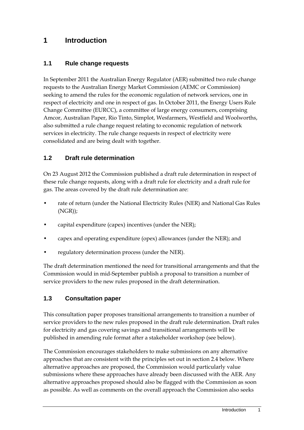# **1 Introduction**

### **1.1 Rule change requests**

In September 2011 the Australian Energy Regulator (AER) submitted two rule change requests to the Australian Energy Market Commission (AEMC or Commission) seeking to amend the rules for the economic regulation of network services, one in respect of electricity and one in respect of gas. In October 2011, the Energy Users Rule Change Committee (EURCC), a committee of large energy consumers, comprising Amcor, Australian Paper, Rio Tinto, Simplot, Wesfarmers, Westfield and Woolworths, also submitted a rule change request relating to economic regulation of network services in electricity. The rule change requests in respect of electricity were consolidated and are being dealt with together.

#### **1.2 Draft rule determination**

On 23 August 2012 the Commission published a draft rule determination in respect of these rule change requests, along with a draft rule for electricity and a draft rule for gas. The areas covered by the draft rule determination are:

- rate of return (under the National Electricity Rules (NER) and National Gas Rules (NGR));
- capital expenditure (capex) incentives (under the NER);
- capex and operating expenditure (opex) allowances (under the NER); and
- regulatory determination process (under the NER).

The draft determination mentioned the need for transitional arrangements and that the Commission would in mid-September publish a proposal to transition a number of service providers to the new rules proposed in the draft determination.

#### **1.3 Consultation paper**

This consultation paper proposes transitional arrangements to transition a number of service providers to the new rules proposed in the draft rule determination. Draft rules for electricity and gas covering savings and transitional arrangements will be published in amending rule format after a stakeholder workshop (see below).

The Commission encourages stakeholders to make submissions on any alternative approaches that are consistent with the principles set out in section 2.4 below. Where alternative approaches are proposed, the Commission would particularly value submissions where these approaches have already been discussed with the AER. Any alternative approaches proposed should also be flagged with the Commission as soon as possible. As well as comments on the overall approach the Commission also seeks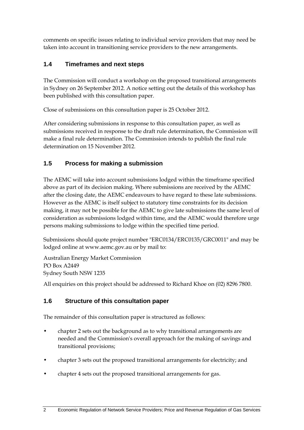comments on specific issues relating to individual service providers that may need be taken into account in transitioning service providers to the new arrangements.

## **1.4 Timeframes and next steps**

The Commission will conduct a workshop on the proposed transitional arrangements in Sydney on 26 September 2012. A notice setting out the details of this workshop has been published with this consultation paper.

Close of submissions on this consultation paper is 25 October 2012.

After considering submissions in response to this consultation paper, as well as submissions received in response to the draft rule determination, the Commission will make a final rule determination. The Commission intends to publish the final rule determination on 15 November 2012.

## **1.5 Process for making a submission**

The AEMC will take into account submissions lodged within the timeframe specified above as part of its decision making. Where submissions are received by the AEMC after the closing date, the AEMC endeavours to have regard to these late submissions. However as the AEMC is itself subject to statutory time constraints for its decision making, it may not be possible for the AEMC to give late submissions the same level of consideration as submissions lodged within time, and the AEMC would therefore urge persons making submissions to lodge within the specified time period.

Submissions should quote project number "ERC0134/ERC0135/GRC0011" and may be lodged online at www.aemc.gov.au or by mail to:

Australian Energy Market Commission PO Box A2449 Sydney South NSW 1235

All enquiries on this project should be addressed to Richard Khoe on (02) 8296 7800.

# **1.6 Structure of this consultation paper**

The remainder of this consultation paper is structured as follows:

- chapter 2 sets out the background as to why transitional arrangements are needed and the Commission's overall approach for the making of savings and transitional provisions;
- chapter 3 sets out the proposed transitional arrangements for electricity; and
- chapter 4 sets out the proposed transitional arrangements for gas.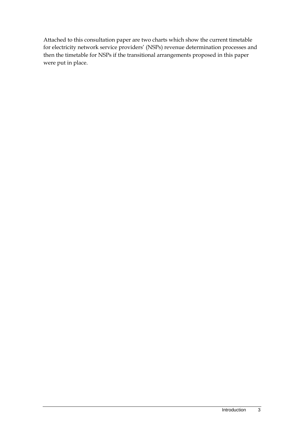Attached to this consultation paper are two charts which show the current timetable for electricity network service providers' (NSPs) revenue determination processes and then the timetable for NSPs if the transitional arrangements proposed in this paper were put in place.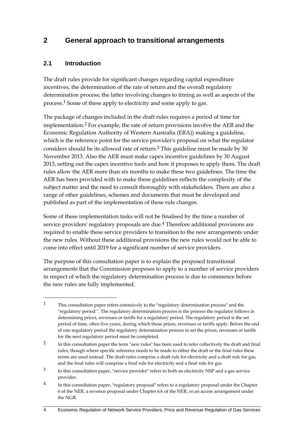# **2 General approach to transitional arrangements**

#### **2.1 Introduction**

1

The draft rules provide for significant changes regarding capital expenditure incentives, the determination of the rate of return and the overall regulatory determination process; the latter involving changes to timing as well as aspects of the process.1 Some of these apply to electricity and some apply to gas.

The package of changes included in the draft rules requires a period of time for implementation.2 For example, the rate of return provisions involve the AER and the Economic Regulation Authority of Western Australia (ERA)) making a guideline, which is the reference point for the service provider's proposal on what the regulator considers should be its allowed rate of return.3 This guideline must be made by 30 November 2013. Also the AER must make capex incentive guidelines by 30 August 2013, setting out the capex incentive tools and how it proposes to apply them. The draft rules allow the AER more than six months to make these two guidelines. The time the AER has been provided with to make these guidelines reflects the complexity of the subject matter and the need to consult thoroughly with stakeholders. There are also a range of other guidelines, schemes and documents that must be developed and published as part of the implementation of these rule changes.

Some of these implementation tasks will not be finalised by the time a number of service providers' regulatory proposals are due.<sup>4</sup> Therefore additional provisions are required to enable these service providers to transition to the new arrangements under the new rules. Without these additional provisions the new rules would not be able to come into effect until 2019 for a significant number of service providers.

The purpose of this consultation paper is to explain the proposed transitional arrangements that the Commission proposes to apply to a number of service providers in respect of which the regulatory determination process is due to commence before the new rules are fully implemented.

<sup>1</sup> This consultation paper refers extensively to the "regulatory determination process" and the "regulatory period ". The regulatory determination process is the process the regulator follows in determining prices, revenues or tariffs for a regulatory period. The regulatory period is the set period of time, often five years, during which those prices, revenues or tariffs apply. Before the end of one regulatory period the regulatory determination process to set the prices, revenues or tariffs for the next regulatory period must be completed.

<sup>2</sup> In this consultation paper the term "new rules" has been used to refer collectively the draft and final rules, though where specific reference needs to be made to either the draft or the final rules these terms are used instead. The draft rules comprise a draft rule for electricity and a draft rule for gas, and the final rules will comprise a final rule for electricity and a final rule for gas.

<sup>3</sup> In this consultation paper, "service provider" refers to both an electricity NSP and a gas service provider.

<sup>&</sup>lt;sup>4</sup> In this consultation paper, "regulatory proposal" refers to a regulatory proposal under the Chapter 6 of the NER, a revenue proposal under Chapter 6A of the NER, or an access arrangement under the NGR.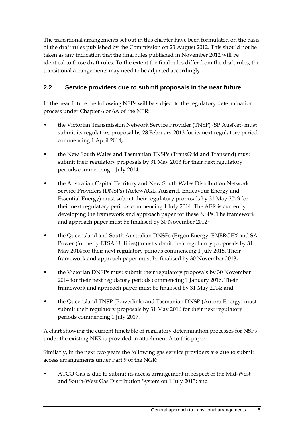The transitional arrangements set out in this chapter have been formulated on the basis of the draft rules published by the Commission on 23 August 2012. This should not be taken as any indication that the final rules published in November 2012 will be identical to those draft rules. To the extent the final rules differ from the draft rules, the transitional arrangements may need to be adjusted accordingly.

## **2.2 Service providers due to submit proposals in the near future**

In the near future the following NSPs will be subject to the regulatory determination process under Chapter 6 or 6A of the NER:

- the Victorian Transmission Network Service Provider (TNSP) (SP AusNet) must submit its regulatory proposal by 28 February 2013 for its next regulatory period commencing 1 April 2014;
- the New South Wales and Tasmanian TNSPs (TransGrid and Transend) must submit their regulatory proposals by 31 May 2013 for their next regulatory periods commencing 1 July 2014;
- the Australian Capital Territory and New South Wales Distribution Network Service Providers (DNSPs) (ActewAGL, Ausgrid, Endeavour Energy and Essential Energy) must submit their regulatory proposals by 31 May 2013 for their next regulatory periods commencing 1 July 2014. The AER is currently developing the framework and approach paper for these NSPs. The framework and approach paper must be finalised by 30 November 2012;
- the Queensland and South Australian DNSPs (Ergon Energy, ENERGEX and SA Power (formerly ETSA Utilities)) must submit their regulatory proposals by 31 May 2014 for their next regulatory periods commencing 1 July 2015. Their framework and approach paper must be finalised by 30 November 2013;
- the Victorian DNSPs must submit their regulatory proposals by 30 November 2014 for their next regulatory periods commencing 1 January 2016. Their framework and approach paper must be finalised by 31 May 2014; and
- the Queensland TNSP (Powerlink) and Tasmanian DNSP (Aurora Energy) must submit their regulatory proposals by 31 May 2016 for their next regulatory periods commencing 1 July 2017.

A chart showing the current timetable of regulatory determination processes for NSPs under the existing NER is provided in attachment A to this paper.

Similarly, in the next two years the following gas service providers are due to submit access arrangements under Part 9 of the NGR:

• ATCO Gas is due to submit its access arrangement in respect of the Mid-West and South-West Gas Distribution System on 1 July 2013; and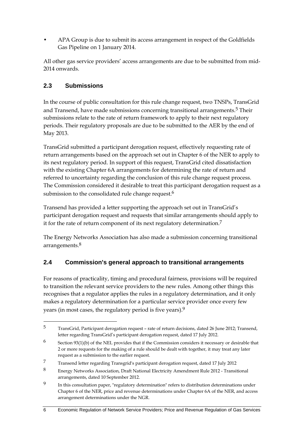• APA Group is due to submit its access arrangement in respect of the Goldfields Gas Pipeline on 1 January 2014.

All other gas service providers' access arrangements are due to be submitted from mid-2014 onwards.

## **2.3 Submissions**

In the course of public consultation for this rule change request, two TNSPs, TransGrid and Transend, have made submissions concerning transitional arrangements.<sup>5</sup> Their submissions relate to the rate of return framework to apply to their next regulatory periods. Their regulatory proposals are due to be submitted to the AER by the end of May 2013.

TransGrid submitted a participant derogation request, effectively requesting rate of return arrangements based on the approach set out in Chapter 6 of the NER to apply to its next regulatory period. In support of this request, TransGrid cited dissatisfaction with the existing Chapter 6A arrangements for determining the rate of return and referred to uncertainty regarding the conclusion of this rule change request process. The Commission considered it desirable to treat this participant derogation request as a submission to the consolidated rule change request.<sup>6</sup>

Transend has provided a letter supporting the approach set out in TransGrid's participant derogation request and requests that similar arrangements should apply to it for the rate of return component of its next regulatory determination.7

The Energy Networks Association has also made a submission concerning transitional arrangements.8

### **2.4 Commission's general approach to transitional arrangements**

For reasons of practicality, timing and procedural fairness, provisions will be required to transition the relevant service providers to the new rules. Among other things this recognises that a regulator applies the rules in a regulatory determination, and it only makes a regulatory determination for a particular service provider once every few years (in most cases, the regulatory period is five years).9

1

<sup>5</sup> TransGrid, Participant derogation request – rate of return decisions, dated 26 June 2012; Transend, letter regarding TransGrid's participant derogation request, dated 17 July 2012.

 $6$  Section 93(1)(b) of the NEL provides that if the Commission considers it necessary or desirable that 2 or more requests for the making of a rule should be dealt with together, it may treat any later request as a submission to the earlier request.

<sup>7</sup> Transend letter regarding Transgrid's participant derogation request, dated 17 July 2012

<sup>8</sup> Energy Networks Association, Draft National Electricity Amendment Rule 2012 - Transitional arrangements, dated 10 September 2012.

<sup>9</sup> In this consultation paper, "regulatory determination" refers to distribution determinations under Chapter 6 of the NER, price and revenue determinations under Chapter 6A of the NER, and access arrangement determinations under the NGR.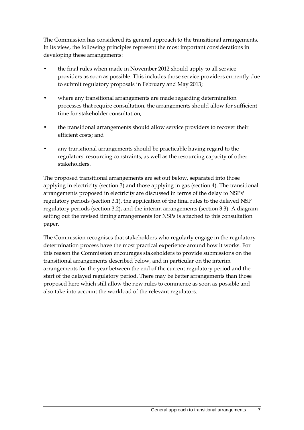The Commission has considered its general approach to the transitional arrangements. In its view, the following principles represent the most important considerations in developing these arrangements:

- the final rules when made in November 2012 should apply to all service providers as soon as possible. This includes those service providers currently due to submit regulatory proposals in February and May 2013;
- where any transitional arrangements are made regarding determination processes that require consultation, the arrangements should allow for sufficient time for stakeholder consultation;
- the transitional arrangements should allow service providers to recover their efficient costs; and
- any transitional arrangements should be practicable having regard to the regulators' resourcing constraints, as well as the resourcing capacity of other stakeholders.

The proposed transitional arrangements are set out below, separated into those applying in electricity (section 3) and those applying in gas (section 4). The transitional arrangements proposed in electricity are discussed in terms of the delay to NSPs' regulatory periods (section 3.1), the application of the final rules to the delayed NSP regulatory periods (section 3.2), and the interim arrangements (section 3.3). A diagram setting out the revised timing arrangements for NSPs is attached to this consultation paper.

The Commission recognises that stakeholders who regularly engage in the regulatory determination process have the most practical experience around how it works. For this reason the Commission encourages stakeholders to provide submissions on the transitional arrangements described below, and in particular on the interim arrangements for the year between the end of the current regulatory period and the start of the delayed regulatory period. There may be better arrangements than those proposed here which still allow the new rules to commence as soon as possible and also take into account the workload of the relevant regulators.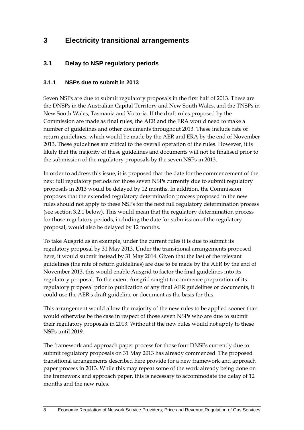# **3 Electricity transitional arrangements**

### **3.1 Delay to NSP regulatory periods**

#### **3.1.1 NSPs due to submit in 2013**

Seven NSPs are due to submit regulatory proposals in the first half of 2013. These are the DNSPs in the Australian Capital Territory and New South Wales, and the TNSPs in New South Wales, Tasmania and Victoria. If the draft rules proposed by the Commission are made as final rules, the AER and the ERA would need to make a number of guidelines and other documents throughout 2013. These include rate of return guidelines, which would be made by the AER and ERA by the end of November 2013. These guidelines are critical to the overall operation of the rules. However, it is likely that the majority of these guidelines and documents will not be finalised prior to the submission of the regulatory proposals by the seven NSPs in 2013.

In order to address this issue, it is proposed that the date for the commencement of the next full regulatory periods for those seven NSPs currently due to submit regulatory proposals in 2013 would be delayed by 12 months. In addition, the Commission proposes that the extended regulatory determination process proposed in the new rules should not apply to these NSPs for the next full regulatory determination process (see section 3.2.1 below). This would mean that the regulatory determination process for those regulatory periods, including the date for submission of the regulatory proposal, would also be delayed by 12 months.

To take Ausgrid as an example, under the current rules it is due to submit its regulatory proposal by 31 May 2013. Under the transitional arrangements proposed here, it would submit instead by 31 May 2014. Given that the last of the relevant guidelines (the rate of return guidelines) are due to be made by the AER by the end of November 2013, this would enable Ausgrid to factor the final guidelines into its regulatory proposal. To the extent Ausgrid sought to commence preparation of its regulatory proposal prior to publication of any final AER guidelines or documents, it could use the AER's draft guideline or document as the basis for this.

This arrangement would allow the majority of the new rules to be applied sooner than would otherwise be the case in respect of those seven NSPs who are due to submit their regulatory proposals in 2013. Without it the new rules would not apply to these NSPs until 2019.

The framework and approach paper process for those four DNSPs currently due to submit regulatory proposals on 31 May 2013 has already commenced. The proposed transitional arrangements described here provide for a new framework and approach paper process in 2013. While this may repeat some of the work already being done on the framework and approach paper, this is necessary to accommodate the delay of 12 months and the new rules.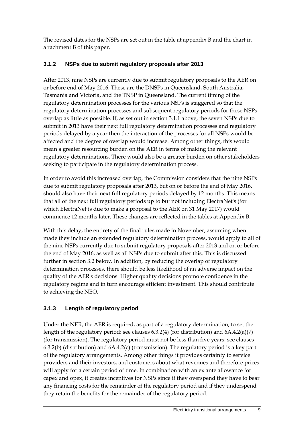The revised dates for the NSPs are set out in the table at appendix B and the chart in attachment B of this paper.

### **3.1.2 NSPs due to submit regulatory proposals after 2013**

After 2013, nine NSPs are currently due to submit regulatory proposals to the AER on or before end of May 2016. These are the DNSPs in Queensland, South Australia, Tasmania and Victoria, and the TNSP in Queensland. The current timing of the regulatory determination processes for the various NSPs is staggered so that the regulatory determination processes and subsequent regulatory periods for these NSPs overlap as little as possible. If, as set out in section 3.1.1 above, the seven NSPs due to submit in 2013 have their next full regulatory determination processes and regulatory periods delayed by a year then the interaction of the processes for all NSPs would be affected and the degree of overlap would increase. Among other things, this would mean a greater resourcing burden on the AER in terms of making the relevant regulatory determinations. There would also be a greater burden on other stakeholders seeking to participate in the regulatory determination process.

In order to avoid this increased overlap, the Commission considers that the nine NSPs due to submit regulatory proposals after 2013, but on or before the end of May 2016, should also have their next full regulatory periods delayed by 12 months. This means that all of the next full regulatory periods up to but not including ElectraNet's (for which ElectraNet is due to make a proposal to the AER on 31 May 2017) would commence 12 months later. These changes are reflected in the tables at Appendix B.

With this delay, the entirety of the final rules made in November, assuming when made they include an extended regulatory determination process, would apply to all of the nine NSPs currently due to submit regulatory proposals after 2013 and on or before the end of May 2016, as well as all NSPs due to submit after this. This is discussed further in section 3.2 below. In addition, by reducing the overlap of regulatory determination processes, there should be less likelihood of an adverse impact on the quality of the AER's decisions. Higher quality decisions promote confidence in the regulatory regime and in turn encourage efficient investment. This should contribute to achieving the NEO.

# **3.1.3 Length of regulatory period**

Under the NER, the AER is required, as part of a regulatory determination, to set the length of the regulatory period: see clauses 6.3.2(4) (for distribution) and 6A.4.2(a)(7) (for transmission). The regulatory period must not be less than five years: see clauses 6.3.2(b) (distribution) and 6A.4.2(c) (transmission). The regulatory period is a key part of the regulatory arrangements. Among other things it provides certainty to service providers and their investors, and customers about what revenues and therefore prices will apply for a certain period of time. In combination with an ex ante allowance for capex and opex, it creates incentives for NSPs since if they overspend they have to bear any financing costs for the remainder of the regulatory period and if they underspend they retain the benefits for the remainder of the regulatory period.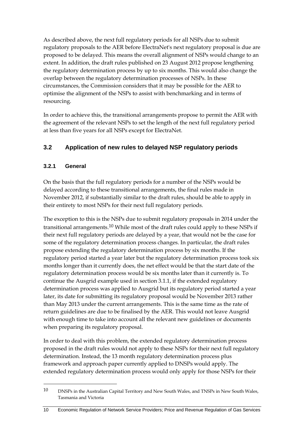As described above, the next full regulatory periods for all NSPs due to submit regulatory proposals to the AER before ElectraNet's next regulatory proposal is due are proposed to be delayed. This means the overall alignment of NSPs would change to an extent. In addition, the draft rules published on 23 August 2012 propose lengthening the regulatory determination process by up to six months. This would also change the overlap between the regulatory determination processes of NSPs. In these circumstances, the Commission considers that it may be possible for the AER to optimise the alignment of the NSPs to assist with benchmarking and in terms of resourcing.

In order to achieve this, the transitional arrangements propose to permit the AER with the agreement of the relevant NSPs to set the length of the next full regulatory period at less than five years for all NSPs except for ElectraNet.

# **3.2 Application of new rules to delayed NSP regulatory periods**

#### **3.2.1 General**

1

On the basis that the full regulatory periods for a number of the NSPs would be delayed according to these transitional arrangements, the final rules made in November 2012, if substantially similar to the draft rules, should be able to apply in their entirety to most NSPs for their next full regulatory periods.

The exception to this is the NSPs due to submit regulatory proposals in 2014 under the transitional arrangements.<sup>10</sup> While most of the draft rules could apply to these NSPs if their next full regulatory periods are delayed by a year, that would not be the case for some of the regulatory determination process changes. In particular, the draft rules propose extending the regulatory determination process by six months. If the regulatory period started a year later but the regulatory determination process took six months longer than it currently does, the net effect would be that the start date of the regulatory determination process would be six months later than it currently is. To continue the Ausgrid example used in section 3.1.1, if the extended regulatory determination process was applied to Ausgrid but its regulatory period started a year later, its date for submitting its regulatory proposal would be November 2013 rather than May 2013 under the current arrangements. This is the same time as the rate of return guidelines are due to be finalised by the AER. This would not leave Ausgrid with enough time to take into account all the relevant new guidelines or documents when preparing its regulatory proposal.

In order to deal with this problem, the extended regulatory determination process proposed in the draft rules would not apply to these NSPs for their next full regulatory determination. Instead, the 13 month regulatory determination process plus framework and approach paper currently applied to DNSPs would apply. The extended regulatory determination process would only apply for those NSPs for their

<sup>10</sup> DNSPs in the Australian Capital Territory and New South Wales, and TNSPs in New South Wales, Tasmania and Victoria

<sup>10</sup> Economic Regulation of Network Service Providers; Price and Revenue Regulation of Gas Services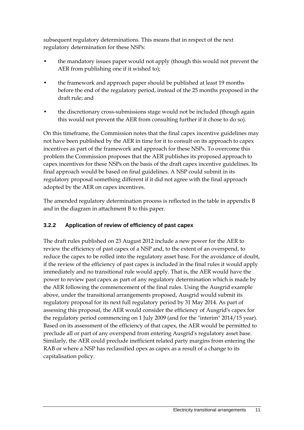subsequent regulatory determinations. This means that in respect of the next regulatory determination for these NSPs:

- the mandatory issues paper would not apply (though this would not prevent the AER from publishing one if it wished to);
- the framework and approach paper should be published at least 19 months before the end of the regulatory period, instead of the 25 months proposed in the draft rule; and
- the discretionary cross-submissions stage would not be included (though again this would not prevent the AER from consulting further if it chose to do so).

On this timeframe, the Commission notes that the final capex incentive guidelines may not have been published by the AER in time for it to consult on its approach to capex incentives as part of the framework and approach for these NSPs. To overcome this problem the Commission proposes that the AER publishes its proposed approach to capex incentives for these NSPs on the basis of the draft capex incentive guidelines. Its final approach would be based on final guidelines. A NSP could submit in its regulatory proposal something different if it did not agree with the final approach adopted by the AER on capex incentives.

The amended regulatory determination process is reflected in the table in appendix B and in the diagram in attachment B to this paper.

### **3.2.2 Application of review of efficiency of past capex**

The draft rules published on 23 August 2012 include a new power for the AER to review the efficiency of past capex of a NSP and, to the extent of an overspend, to reduce the capex to be rolled into the regulatory asset base. For the avoidance of doubt, if the review of the efficiency of past capex is included in the final rules it would apply immediately and no transitional rule would apply. That is, the AER would have the power to review past capex as part of any regulatory determination which is made by the AER following the commencement of the final rules. Using the Ausgrid example above, under the transitional arrangements proposed, Ausgrid would submit its regulatory proposal for its next full regulatory period by 31 May 2014. As part of assessing this proposal, the AER would consider the efficiency of Ausgrid's capex for the regulatory period commencing on 1 July 2009 (and for the "interim" 2014/15 year). Based on its assessment of the efficiency of that capex, the AER would be permitted to preclude all or part of any overspend from entering Ausgrid's regulatory asset base. Similarly, the AER could preclude inefficient related party margins from entering the RAB or where a NSP has reclassified opex as capex as a result of a change to its capitalisation policy.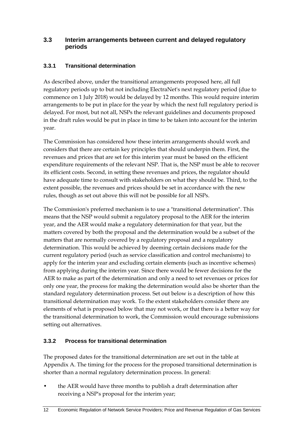#### **3.3 Interim arrangements between current and delayed regulatory periods**

#### **3.3.1 Transitional determination**

As described above, under the transitional arrangements proposed here, all full regulatory periods up to but not including ElectraNet's next regulatory period (due to commence on 1 July 2018) would be delayed by 12 months. This would require interim arrangements to be put in place for the year by which the next full regulatory period is delayed. For most, but not all, NSPs the relevant guidelines and documents proposed in the draft rules would be put in place in time to be taken into account for the interim year.

The Commission has considered how these interim arrangements should work and considers that there are certain key principles that should underpin them. First, the revenues and prices that are set for this interim year must be based on the efficient expenditure requirements of the relevant NSP. That is, the NSP must be able to recover its efficient costs. Second, in setting these revenues and prices, the regulator should have adequate time to consult with stakeholders on what they should be. Third, to the extent possible, the revenues and prices should be set in accordance with the new rules, though as set out above this will not be possible for all NSPs.

The Commission's preferred mechanism is to use a "transitional determination". This means that the NSP would submit a regulatory proposal to the AER for the interim year, and the AER would make a regulatory determination for that year, but the matters covered by both the proposal and the determination would be a subset of the matters that are normally covered by a regulatory proposal and a regulatory determination. This would be achieved by deeming certain decisions made for the current regulatory period (such as service classification and control mechanisms) to apply for the interim year and excluding certain elements (such as incentive schemes) from applying during the interim year. Since there would be fewer decisions for the AER to make as part of the determination and only a need to set revenues or prices for only one year, the process for making the determination would also be shorter than the standard regulatory determination process. Set out below is a description of how this transitional determination may work. To the extent stakeholders consider there are elements of what is proposed below that may not work, or that there is a better way for the transitional determination to work, the Commission would encourage submissions setting out alternatives.

### **3.3.2 Process for transitional determination**

The proposed dates for the transitional determination are set out in the table at Appendix A. The timing for the process for the proposed transitional determination is shorter than a normal regulatory determination process. In general:

• the AER would have three months to publish a draft determination after receiving a NSP's proposal for the interim year;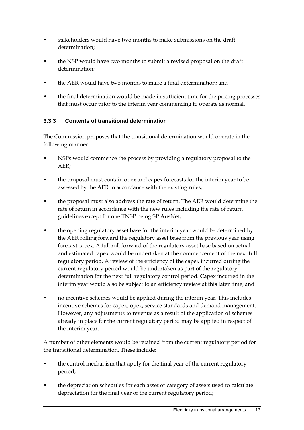- stakeholders would have two months to make submissions on the draft determination;
- the NSP would have two months to submit a revised proposal on the draft determination;
- the AER would have two months to make a final determination; and
- the final determination would be made in sufficient time for the pricing processes that must occur prior to the interim year commencing to operate as normal.

#### **3.3.3 Contents of transitional determination**

The Commission proposes that the transitional determination would operate in the following manner:

- NSPs would commence the process by providing a regulatory proposal to the AER;
- the proposal must contain opex and capex forecasts for the interim year to be assessed by the AER in accordance with the existing rules;
- the proposal must also address the rate of return. The AER would determine the rate of return in accordance with the new rules including the rate of return guidelines except for one TNSP being SP AusNet;
- the opening regulatory asset base for the interim year would be determined by the AER rolling forward the regulatory asset base from the previous year using forecast capex. A full roll forward of the regulatory asset base based on actual and estimated capex would be undertaken at the commencement of the next full regulatory period. A review of the efficiency of the capex incurred during the current regulatory period would be undertaken as part of the regulatory determination for the next full regulatory control period. Capex incurred in the interim year would also be subject to an efficiency review at this later time; and
- no incentive schemes would be applied during the interim year. This includes incentive schemes for capex, opex, service standards and demand management. However, any adjustments to revenue as a result of the application of schemes already in place for the current regulatory period may be applied in respect of the interim year.

A number of other elements would be retained from the current regulatory period for the transitional determination. These include:

- the control mechanism that apply for the final year of the current regulatory period;
- the depreciation schedules for each asset or category of assets used to calculate depreciation for the final year of the current regulatory period;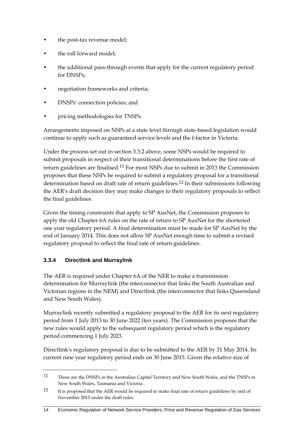- the post-tax revenue model;
- the roll forward model;
- the additional pass-through events that apply for the current regulatory period for DNSPs;
- negotiation frameworks and criteria;
- DNSPs' connection policies; and
- pricing methodologies for TNSPs.

Arrangements imposed on NSPs at a state level through state-based legislation would continue to apply such as guaranteed service levels and the f-factor in Victoria.

Under the process set out in section 3.3.2 above, some NSPs would be required to submit proposals in respect of their transitional determinations before the first rate of return guidelines are finalised.11 For most NSPs due to submit in 2013 the Commission proposes that these NSPs be required to submit a regulatory proposal for a transitional determination based on draft rate of return guidelines.<sup>12</sup> In their submissions following the AER's draft decision they may make changes to their regulatory proposals to reflect the final guidelines.

Given the timing constraints that apply to SP AusNet, the Commission proposes to apply the old Chapter 6A rules on the rate of return to SP AusNet for the shortened one year regulatory period. A final determination must be made for SP AusNet by the end of January 2014. This does not allow SP AusNet enough time to submit a revised regulatory proposal to reflect the final rate of return guidelines.

### **3.3.4 Directlink and Murraylink**

1

The AER is required under Chapter 6A of the NER to make a transmission determination for Murraylink (the interconnector that links the South Australian and Victorian regions in the NEM) and Directlink (the interconnector that links Queensland and New South Wales).

Murraylink recently submitted a regulatory proposal to the AER for its next regulatory period from 1 July 2013 to 30 June 2022 (ten years). The Commission proposes that the new rules would apply to the subsequent regulatory period which is the regulatory period commencing 1 July 2023.

Directlink's regulatory proposal is due to be submitted to the AER by 31 May 2014. Its current nine year regulatory period ends on 30 June 2015. Given the relative size of

<sup>11</sup> These are the DNSPs in the Australian Capital Territory and New South Wales, and the TNSPs in New South Wales, Tasmania and Victoria .

<sup>12</sup> It is proposed that the AER would be required to make final rate of return guidelines by end of November 2013 under the draft rules.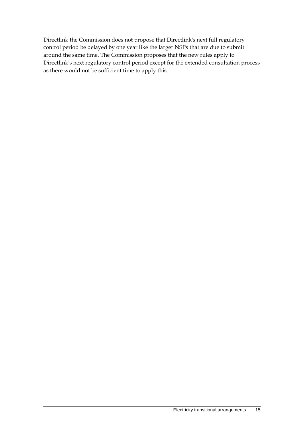Directlink the Commission does not propose that Directlink's next full regulatory control period be delayed by one year like the larger NSPs that are due to submit around the same time. The Commission proposes that the new rules apply to Directlink's next regulatory control period except for the extended consultation process as there would not be sufficient time to apply this.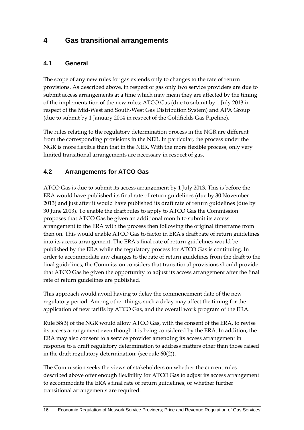# **4 Gas transitional arrangements**

#### **4.1 General**

The scope of any new rules for gas extends only to changes to the rate of return provisions. As described above, in respect of gas only two service providers are due to submit access arrangements at a time which may mean they are affected by the timing of the implementation of the new rules: ATCO Gas (due to submit by 1 July 2013 in respect of the Mid-West and South-West Gas Distribution System) and APA Group (due to submit by 1 January 2014 in respect of the Goldfields Gas Pipeline).

The rules relating to the regulatory determination process in the NGR are different from the corresponding provisions in the NER. In particular, the process under the NGR is more flexible than that in the NER. With the more flexible process, only very limited transitional arrangements are necessary in respect of gas.

### **4.2 Arrangements for ATCO Gas**

ATCO Gas is due to submit its access arrangement by 1 July 2013. This is before the ERA would have published its final rate of return guidelines (due by 30 November 2013) and just after it would have published its draft rate of return guidelines (due by 30 June 2013). To enable the draft rules to apply to ATCO Gas the Commission proposes that ATCO Gas be given an additional month to submit its access arrangement to the ERA with the process then following the original timeframe from then on. This would enable ATCO Gas to factor in ERA's draft rate of return guidelines into its access arrangement. The ERA's final rate of return guidelines would be published by the ERA while the regulatory process for ATCO Gas is continuing. In order to accommodate any changes to the rate of return guidelines from the draft to the final guidelines, the Commission considers that transitional provisions should provide that ATCO Gas be given the opportunity to adjust its access arrangement after the final rate of return guidelines are published.

This approach would avoid having to delay the commencement date of the new regulatory period. Among other things, such a delay may affect the timing for the application of new tariffs by ATCO Gas, and the overall work program of the ERA.

Rule 58(3) of the NGR would allow ATCO Gas, with the consent of the ERA, to revise its access arrangement even though it is being considered by the ERA. In addition, the ERA may also consent to a service provider amending its access arrangement in response to a draft regulatory determination to address matters other than those raised in the draft regulatory determination: (see rule 60(2)).

The Commission seeks the views of stakeholders on whether the current rules described above offer enough flexibility for ATCO Gas to adjust its access arrangement to accommodate the ERA's final rate of return guidelines, or whether further transitional arrangements are required.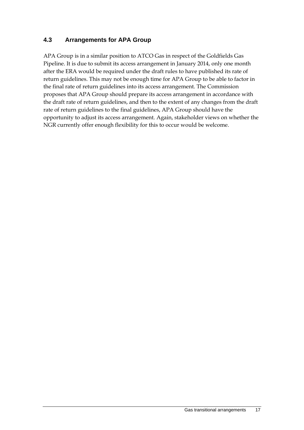#### **4.3 Arrangements for APA Group**

APA Group is in a similar position to ATCO Gas in respect of the Goldfields Gas Pipeline. It is due to submit its access arrangement in January 2014, only one month after the ERA would be required under the draft rules to have published its rate of return guidelines. This may not be enough time for APA Group to be able to factor in the final rate of return guidelines into its access arrangement. The Commission proposes that APA Group should prepare its access arrangement in accordance with the draft rate of return guidelines, and then to the extent of any changes from the draft rate of return guidelines to the final guidelines, APA Group should have the opportunity to adjust its access arrangement. Again, stakeholder views on whether the NGR currently offer enough flexibility for this to occur would be welcome.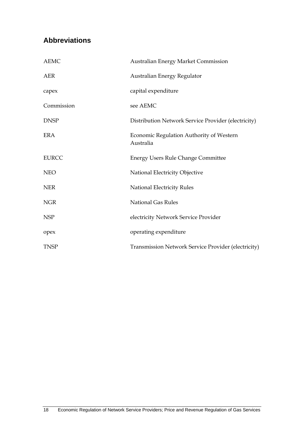# **Abbreviations**

| <b>AEMC</b>  | <b>Australian Energy Market Commission</b>            |
|--------------|-------------------------------------------------------|
| <b>AER</b>   | Australian Energy Regulator                           |
| capex        | capital expenditure                                   |
| Commission   | see AEMC                                              |
| <b>DNSP</b>  | Distribution Network Service Provider (electricity)   |
| <b>ERA</b>   | Economic Regulation Authority of Western<br>Australia |
| <b>EURCC</b> | <b>Energy Users Rule Change Committee</b>             |
| <b>NEO</b>   | National Electricity Objective                        |
| <b>NER</b>   | <b>National Electricity Rules</b>                     |
| <b>NGR</b>   | <b>National Gas Rules</b>                             |
| <b>NSP</b>   | electricity Network Service Provider                  |
| opex         | operating expenditure                                 |
| <b>TNSP</b>  | Transmission Network Service Provider (electricity)   |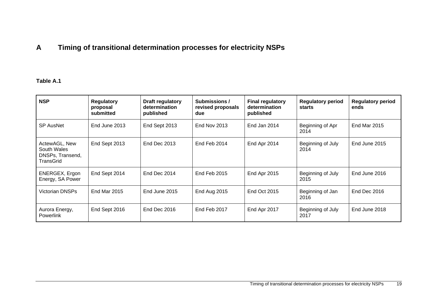# **A Timing of transitional determination processes for electricity NSPs**

#### **Table A.1**

| <b>NSP</b>                                                    | <b>Regulatory</b><br>proposal<br>submitted | Draft regulatory<br>determination<br>published | Submissions /<br>revised proposals<br>due | <b>Final regulatory</b><br>determination<br>published | <b>Regulatory period</b><br>starts | <b>Regulatory period</b><br>ends |
|---------------------------------------------------------------|--------------------------------------------|------------------------------------------------|-------------------------------------------|-------------------------------------------------------|------------------------------------|----------------------------------|
| <b>SP AusNet</b>                                              | End June 2013                              | End Sept 2013                                  | <b>End Nov 2013</b>                       | End Jan 2014                                          | Beginning of Apr<br>2014           | <b>End Mar 2015</b>              |
| ActewAGL, New<br>South Wales<br>DNSPs, Transend,<br>TransGrid | End Sept 2013                              | End Dec 2013                                   | End Feb 2014                              | End Apr 2014                                          | Beginning of July<br>2014          | End June 2015                    |
| ENERGEX, Ergon<br>Energy, SA Power                            | End Sept 2014                              | End Dec 2014                                   | End Feb 2015                              | End Apr 2015                                          | Beginning of July<br>2015          | End June 2016                    |
| Victorian DNSPs                                               | <b>End Mar 2015</b>                        | End June 2015                                  | End Aug 2015                              | End Oct 2015                                          | Beginning of Jan<br>2016           | <b>End Dec 2016</b>              |
| Aurora Energy,<br><b>Powerlink</b>                            | End Sept 2016                              | <b>End Dec 2016</b>                            | End Feb 2017                              | End Apr 2017                                          | Beginning of July<br>2017          | End June 2018                    |